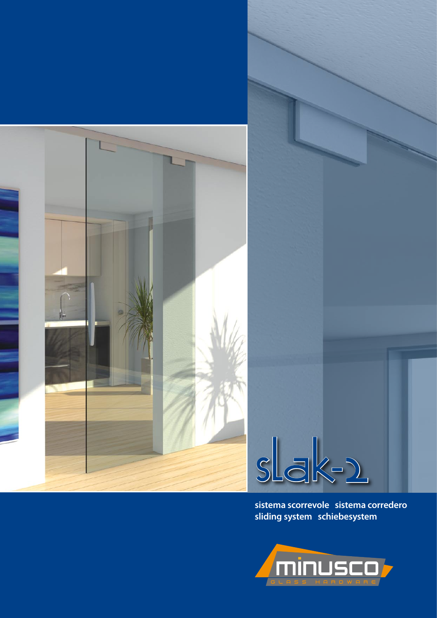



**sistema scorrevole sistema corredero sliding system schiebesystem**

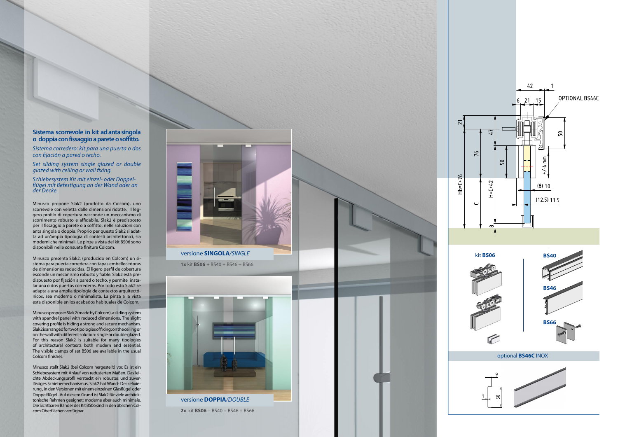optional **BS46C** INOX



versione **DOPPIA***/DOUBLE*

**1x** kit **BS06** + BS40 + BS46 + BS66



**2x** kit **BS06** + BS40 + BS46 + BS66



versione **SINGOLA***/SINGLE*

## **Sistema scorrevole in kit ad anta singola o doppia con fissaggio a parete o soffitto.**

*Sistema corredero: kit para una puerta o dos con fijación a pared o techo.*

*Set sliding system single glazed or double glazed with ceiling or wall fixing.*

*Schiebesystem Kit mit einzel- oder Doppel - flügel mit Befestigung an der Wand oder an der Decke.*

Minusco propone Slak2 (prodotto da Colcom), uno scorrevole con veletta dalle dimensioni ridotte. Il leg gero profilo di copertura nasconde un meccanismo di scorrimento robusto e affidabile. Slak2 è predisposto per il fissaggio a parete o a soffitto; nelle soluzioni con anta singola o doppia. Proprio per questo Slak2 si adat ta ad un'ampia tipologia di contesti architettonici, sia moderni che minimali. Le pinze a vista del kit BS06 sono disponibili nelle consuete finiture Colcom.



Minusco presenta Slak2, (producido en Colcom) un si stema para puerta corredera con tapas embellecedoras de dimensiones reducidas. El ligero perfil de cobertura esconde un mecanismo robusto y fiable. Slak2 está pre dispuesto por fijación a pared o techo, y permite insta lar una o dos puertas correderas. Por todo esto Slak2 se adapta a una amplia tipologia de contextos arquitectó nicos, sea moderno o minimalista. La pinza a la vista esta disponible en los acabados habituales de Colcom.

Minusco proposes Slak2 (made by Colcom), a sliding system with spandrel panel with reduced dimensions. The slight covering profile is hiding a strong and secure mechanism. Slak2 is arranged for two tipologies of fixing; on the ceiling or on the wall with different solution: single or double glazed. For this reason Slak2 is suitable for many tipologies of architectural contexts both modern and essential. The visible clamps of set BS06 are available in the usual Colcom finishes.

Minusco stellt Slak2 (bei Colcom hergestellt) vor. Es ist ein Schiebesystem mit Anlauf von reduzierten Maßen. Das lei chte Abdeckungsprofil versteckt ein robustes und zuverlässiges Schiebemechanismus. Slak2 hat Wand- Deckefixierung , in den Versionen mit einem einzelnen Glasflügel oder Doppelflügel . Auf diesem Grund ist Slak2 für viele architektonische Rahmen geeignet: moderne aber auch minimale. Die Sichtbaren Bänder des Kit BS06 sind in den üblichen Col com Oberflächen verfügbar.